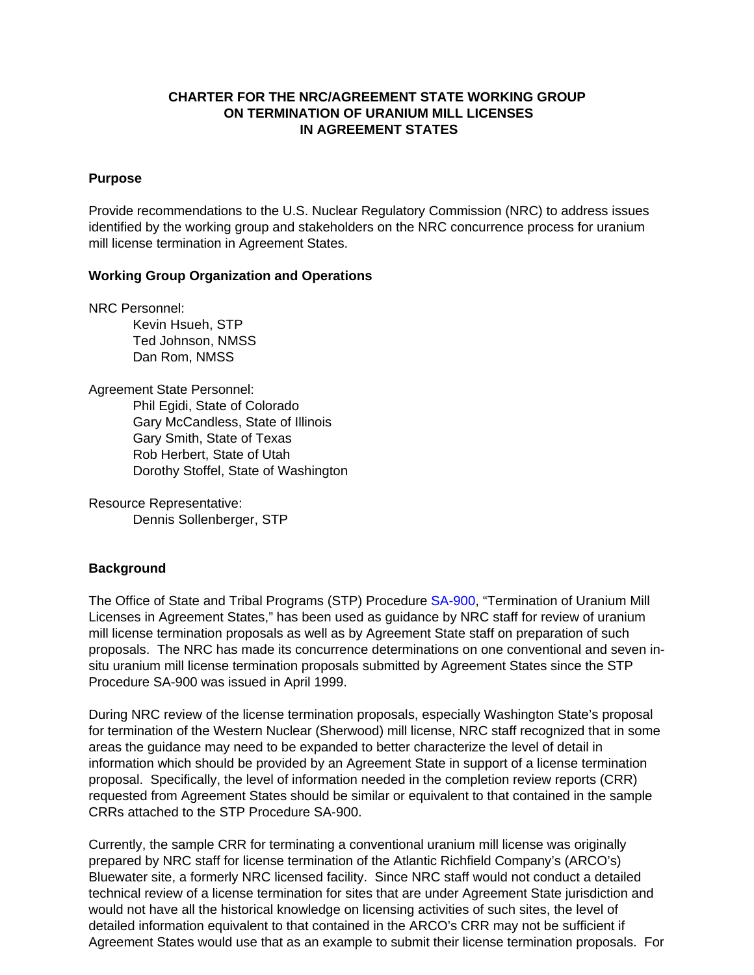## **CHARTER FOR THE NRC/AGREEMENT STATE WORKING GROUP ON TERMINATION OF URANIUM MILL LICENSES IN AGREEMENT STATES**

### **Purpose**

Provide recommendations to the U.S. Nuclear Regulatory Commission (NRC) to address issues identified by the working group and stakeholders on the NRC concurrence process for uranium mill license termination in Agreement States.

### **Working Group Organization and Operations**

NRC Personnel:

Kevin Hsueh, STP Ted Johnson, NMSS Dan Rom, NMSS

Agreement State Personnel: Phil Egidi, State of Colorado Gary McCandless, State of Illinois Gary Smith, State of Texas Rob Herbert, State of Utah Dorothy Stoffel, State of Washington

Resource Representative: Dennis Sollenberger, STP

### **Background**

The Office of State and Tribal Programs (STP) Procedur[e SA-900,](http://www.hsrd.ornl.gov/nrc/procedures/sa900.pdf) "Termination of Uranium Mill Licenses in Agreement States," has been used as guidance by NRC staff for review of uranium mill license termination proposals as well as by Agreement State staff on preparation of such proposals. The NRC has made its concurrence determinations on one conventional and seven insitu uranium mill license termination proposals submitted by Agreement States since the STP Procedure SA-900 was issued in April 1999.

During NRC review of the license termination proposals, especially Washington State's proposal for termination of the Western Nuclear (Sherwood) mill license, NRC staff recognized that in some areas the guidance may need to be expanded to better characterize the level of detail in information which should be provided by an Agreement State in support of a license termination proposal. Specifically, the level of information needed in the completion review reports (CRR) requested from Agreement States should be similar or equivalent to that contained in the sample CRRs attached to the STP Procedure SA-900.

Currently, the sample CRR for terminating a conventional uranium mill license was originally prepared by NRC staff for license termination of the Atlantic Richfield Company's (ARCO's) Bluewater site, a formerly NRC licensed facility. Since NRC staff would not conduct a detailed technical review of a license termination for sites that are under Agreement State jurisdiction and would not have all the historical knowledge on licensing activities of such sites, the level of detailed information equivalent to that contained in the ARCO's CRR may not be sufficient if Agreement States would use that as an example to submit their license termination proposals. For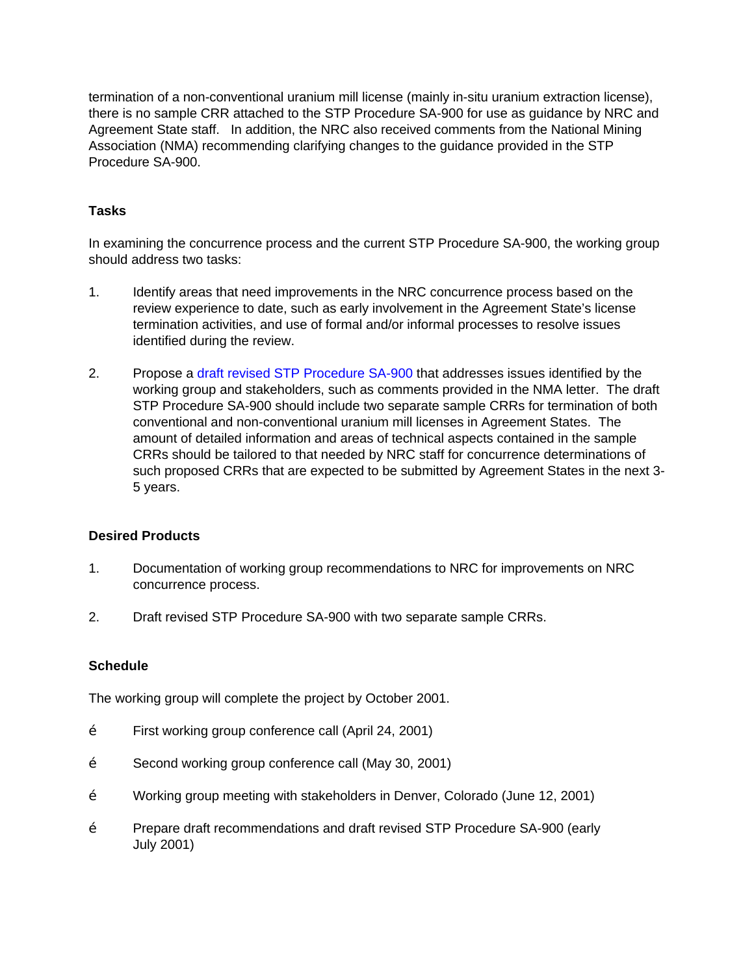termination of a non-conventional uranium mill license (mainly in-situ uranium extraction license), there is no sample CRR attached to the STP Procedure SA-900 for use as guidance by NRC and Agreement State staff. In addition, the NRC also received comments from the National Mining Association (NMA) recommending clarifying changes to the guidance provided in the STP Procedure SA-900.

# **Tasks**

In examining the concurrence process and the current STP Procedure SA-900, the working group should address two tasks:

- 1. Identify areas that need improvements in the NRC concurrence process based on the review experience to date, such as early involvement in the Agreement State's license termination activities, and use of formal and/or informal processes to resolve issues identified during the review.
- 2. Propose a [draft revised STP Procedure SA-900 t](http://www.hsrd.ornl.gov/nrc/umill/UWGSA900.pdf)hat addresses issues identified by the working group and stakeholders, such as comments provided in the NMA letter. The draft STP Procedure SA-900 should include two separate sample CRRs for termination of both conventional and non-conventional uranium mill licenses in Agreement States. The amount of detailed information and areas of technical aspects contained in the sample CRRs should be tailored to that needed by NRC staff for concurrence determinations of such proposed CRRs that are expected to be submitted by Agreement States in the next 3- 5 years.

# **Desired Products**

- 1. Documentation of working group recommendations to NRC for improvements on NRC concurrence process.
- 2. Draft revised STP Procedure SA-900 with two separate sample CRRs.

## **Schedule**

The working group will complete the project by October 2001.

- Ž First working group conference call (April 24, 2001)
- Ž Second working group conference call (May 30, 2001)
- Ž Working group meeting with stakeholders in Denver, Colorado (June 12, 2001)
- Ž Prepare draft recommendations and draft revised STP Procedure SA-900 (early July 2001)